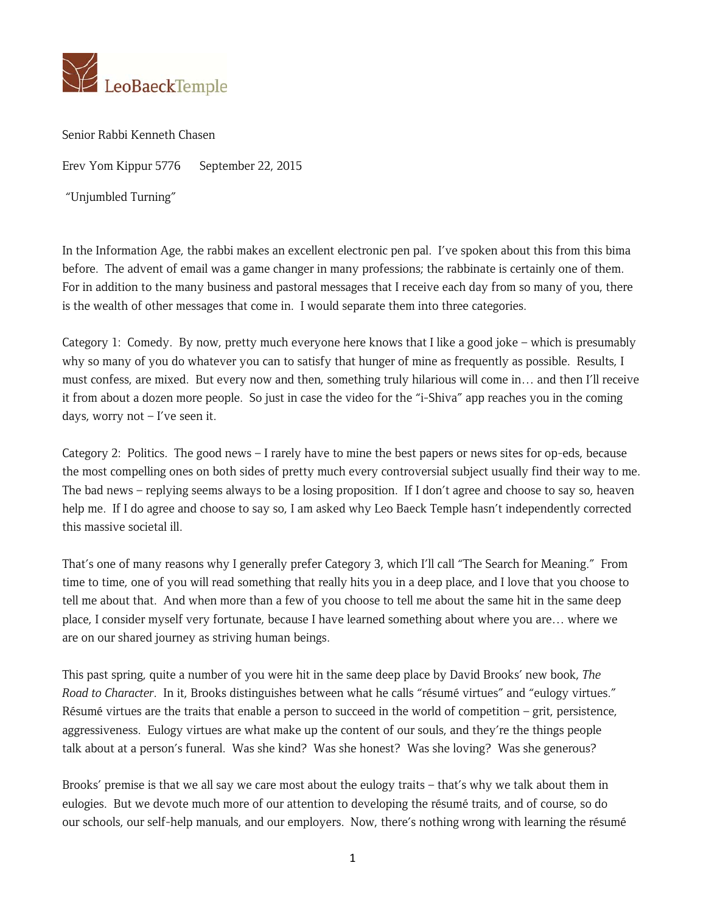

Senior Rabbi Kenneth Chasen

Erev Yom Kippur 5776 September 22, 2015

"Unjumbled Turning"

In the Information Age, the rabbi makes an excellent electronic pen pal. I've spoken about this from this bima before. The advent of email was a game changer in many professions; the rabbinate is certainly one of them. For in addition to the many business and pastoral messages that I receive each day from so many of you, there is the wealth of other messages that come in. I would separate them into three categories.

Category 1: Comedy. By now, pretty much everyone here knows that I like a good joke – which is presumably why so many of you do whatever you can to satisfy that hunger of mine as frequently as possible. Results, I must confess, are mixed. But every now and then, something truly hilarious will come in… and then I'll receive it from about a dozen more people. So just in case the video for the "i-Shiva" app reaches you in the coming days, worry not  $-$  I've seen it.

Category 2: Politics. The good news – I rarely have to mine the best papers or news sites for op-eds, because the most compelling ones on both sides of pretty much every controversial subject usually find their way to me. The bad news – replying seems always to be a losing proposition. If I don't agree and choose to say so, heaven help me. If I do agree and choose to say so, I am asked why Leo Baeck Temple hasn't independently corrected this massive societal ill.

That's one of many reasons why I generally prefer Category 3, which I'll call "The Search for Meaning." From time to time, one of you will read something that really hits you in a deep place, and I love that you choose to tell me about that. And when more than a few of you choose to tell me about the same hit in the same deep place, I consider myself very fortunate, because I have learned something about where you are… where we are on our shared journey as striving human beings.

This past spring, quite a number of you were hit in the same deep place by David Brooks' new book, *The Road to Character*. In it, Brooks distinguishes between what he calls "résumé virtues" and "eulogy virtues." Résumé virtues are the traits that enable a person to succeed in the world of competition – grit, persistence, aggressiveness. Eulogy virtues are what make up the content of our souls, and they're the things people talk about at a person's funeral. Was she kind? Was she honest? Was she loving? Was she generous?

Brooks' premise is that we all say we care most about the eulogy traits – that's why we talk about them in eulogies. But we devote much more of our attention to developing the résumé traits, and of course, so do our schools, our self-help manuals, and our employers. Now, there's nothing wrong with learning the résumé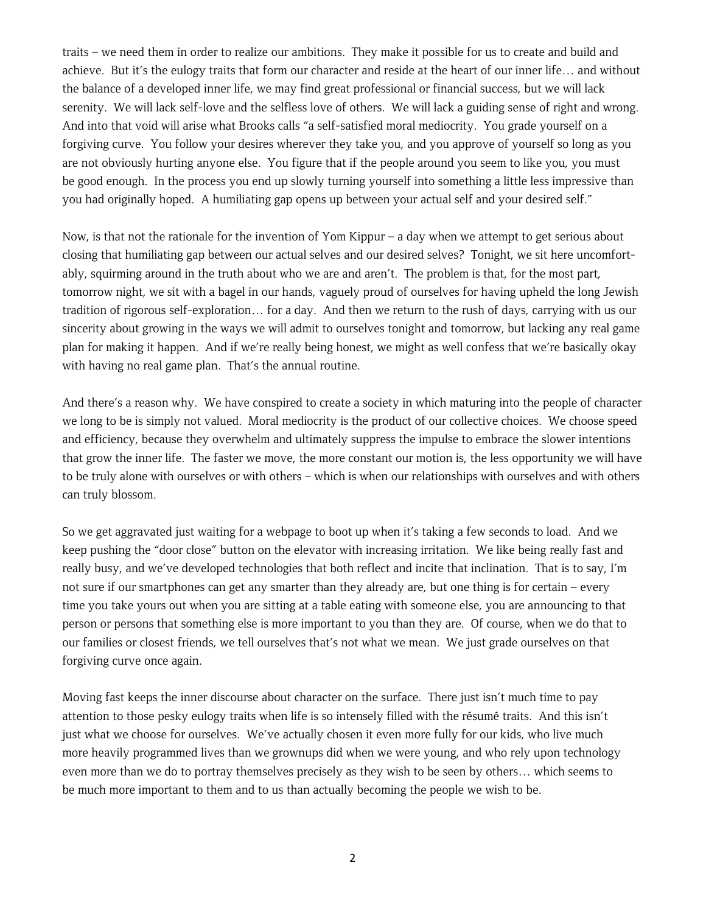traits – we need them in order to realize our ambitions. They make it possible for us to create and build and achieve. But it's the eulogy traits that form our character and reside at the heart of our inner life… and without the balance of a developed inner life, we may find great professional or financial success, but we will lack serenity. We will lack self-love and the selfless love of others. We will lack a guiding sense of right and wrong. And into that void will arise what Brooks calls "a self-satisfied moral mediocrity. You grade yourself on a forgiving curve. You follow your desires wherever they take you, and you approve of yourself so long as you are not obviously hurting anyone else. You figure that if the people around you seem to like you, you must be good enough. In the process you end up slowly turning yourself into something a little less impressive than you had originally hoped. A humiliating gap opens up between your actual self and your desired self."

Now, is that not the rationale for the invention of Yom Kippur – a day when we attempt to get serious about closing that humiliating gap between our actual selves and our desired selves? Tonight, we sit here uncomfortably, squirming around in the truth about who we are and aren't. The problem is that, for the most part, tomorrow night, we sit with a bagel in our hands, vaguely proud of ourselves for having upheld the long Jewish tradition of rigorous self-exploration… for a day. And then we return to the rush of days, carrying with us our sincerity about growing in the ways we will admit to ourselves tonight and tomorrow, but lacking any real game plan for making it happen. And if we're really being honest, we might as well confess that we're basically okay with having no real game plan. That's the annual routine.

And there's a reason why. We have conspired to create a society in which maturing into the people of character we long to be is simply not valued. Moral mediocrity is the product of our collective choices. We choose speed and efficiency, because they overwhelm and ultimately suppress the impulse to embrace the slower intentions that grow the inner life. The faster we move, the more constant our motion is, the less opportunity we will have to be truly alone with ourselves or with others – which is when our relationships with ourselves and with others can truly blossom.

So we get aggravated just waiting for a webpage to boot up when it's taking a few seconds to load. And we keep pushing the "door close" button on the elevator with increasing irritation. We like being really fast and really busy, and we've developed technologies that both reflect and incite that inclination. That is to say, I'm not sure if our smartphones can get any smarter than they already are, but one thing is for certain – every time you take yours out when you are sitting at a table eating with someone else, you are announcing to that person or persons that something else is more important to you than they are. Of course, when we do that to our families or closest friends, we tell ourselves that's not what we mean. We just grade ourselves on that forgiving curve once again.

Moving fast keeps the inner discourse about character on the surface. There just isn't much time to pay attention to those pesky eulogy traits when life is so intensely filled with the résumé traits. And this isn't just what we choose for ourselves. We've actually chosen it even more fully for our kids, who live much more heavily programmed lives than we grownups did when we were young, and who rely upon technology even more than we do to portray themselves precisely as they wish to be seen by others… which seems to be much more important to them and to us than actually becoming the people we wish to be.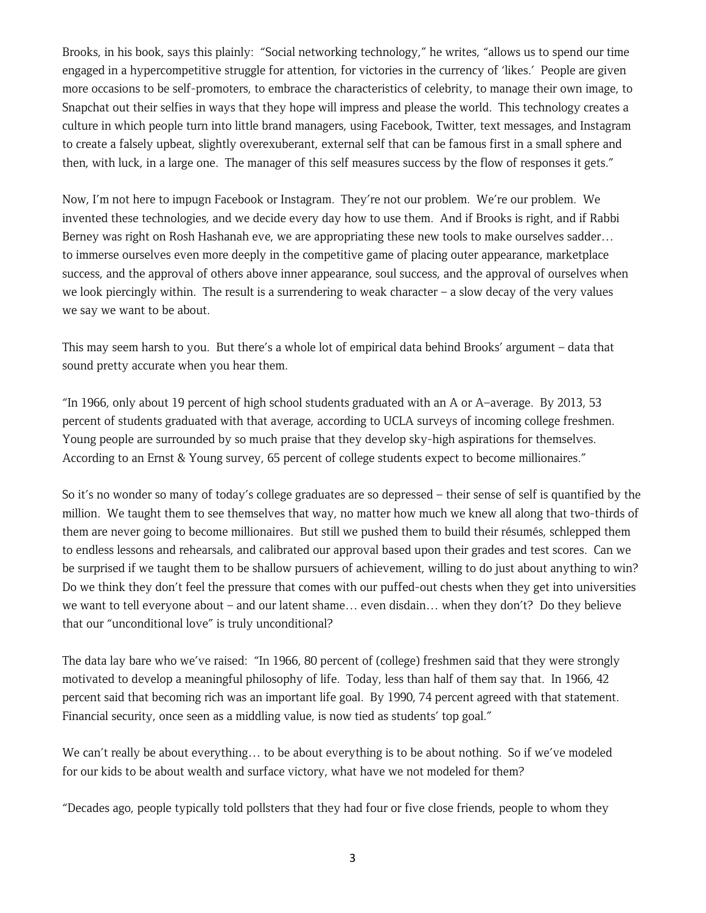Brooks, in his book, says this plainly: "Social networking technology," he writes, "allows us to spend our time engaged in a hypercompetitive struggle for attention, for victories in the currency of 'likes.' People are given more occasions to be self-promoters, to embrace the characteristics of celebrity, to manage their own image, to Snapchat out their selfies in ways that they hope will impress and please the world. This technology creates a culture in which people turn into little brand managers, using Facebook, Twitter, text messages, and Instagram to create a falsely upbeat, slightly overexuberant, external self that can be famous first in a small sphere and then, with luck, in a large one. The manager of this self measures success by the flow of responses it gets."

Now, I'm not here to impugn Facebook or Instagram. They're not our problem. We're our problem. We invented these technologies, and we decide every day how to use them. And if Brooks is right, and if Rabbi Berney was right on Rosh Hashanah eve, we are appropriating these new tools to make ourselves sadder… to immerse ourselves even more deeply in the competitive game of placing outer appearance, marketplace success, and the approval of others above inner appearance, soul success, and the approval of ourselves when we look piercingly within. The result is a surrendering to weak character – a slow decay of the very values we say we want to be about.

This may seem harsh to you. But there's a whole lot of empirical data behind Brooks' argument – data that sound pretty accurate when you hear them.

"In 1966, only about 19 percent of high school students graduated with an A or A–average. By 2013, 53 percent of students graduated with that average, according to UCLA surveys of incoming college freshmen. Young people are surrounded by so much praise that they develop sky-high aspirations for themselves. According to an Ernst & Young survey, 65 percent of college students expect to become millionaires."

So it's no wonder so many of today's college graduates are so depressed – their sense of self is quantified by the million. We taught them to see themselves that way, no matter how much we knew all along that two-thirds of them are never going to become millionaires. But still we pushed them to build their résumés, schlepped them to endless lessons and rehearsals, and calibrated our approval based upon their grades and test scores. Can we be surprised if we taught them to be shallow pursuers of achievement, willing to do just about anything to win? Do we think they don't feel the pressure that comes with our puffed-out chests when they get into universities we want to tell everyone about – and our latent shame… even disdain… when they don't? Do they believe that our "unconditional love" is truly unconditional?

The data lay bare who we've raised: "In 1966, 80 percent of (college) freshmen said that they were strongly motivated to develop a meaningful philosophy of life. Today, less than half of them say that. In 1966, 42 percent said that becoming rich was an important life goal. By 1990, 74 percent agreed with that statement. Financial security, once seen as a middling value, is now tied as students' top goal."

We can't really be about everything… to be about everything is to be about nothing. So if we've modeled for our kids to be about wealth and surface victory, what have we not modeled for them?

"Decades ago, people typically told pollsters that they had four or five close friends, people to whom they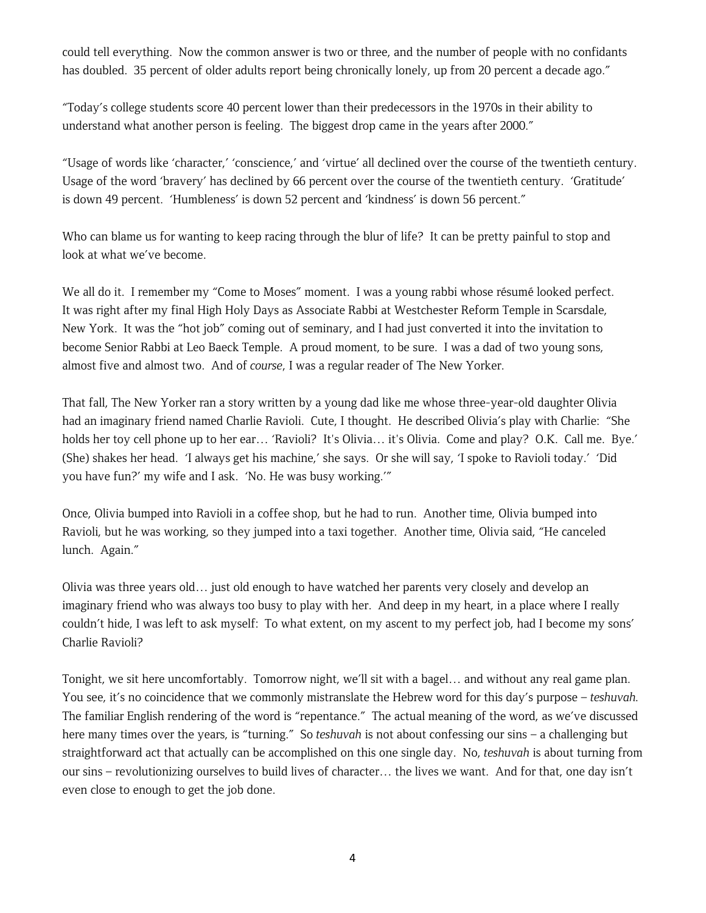could tell everything. Now the common answer is two or three, and the number of people with no confidants has doubled. 35 percent of older adults report being chronically lonely, up from 20 percent a decade ago."

"Today's college students score 40 percent lower than their predecessors in the 1970s in their ability to understand what another person is feeling. The biggest drop came in the years after 2000."

"Usage of words like 'character,' 'conscience,' and 'virtue' all declined over the course of the twentieth century. Usage of the word 'bravery' has declined by 66 percent over the course of the twentieth century. 'Gratitude' is down 49 percent. 'Humbleness' is down 52 percent and 'kindness' is down 56 percent."

Who can blame us for wanting to keep racing through the blur of life? It can be pretty painful to stop and look at what we've become.

We all do it. I remember my "Come to Moses" moment. I was a young rabbi whose résumé looked perfect. It was right after my final High Holy Days as Associate Rabbi at Westchester Reform Temple in Scarsdale, New York. It was the "hot job" coming out of seminary, and I had just converted it into the invitation to become Senior Rabbi at Leo Baeck Temple. A proud moment, to be sure. I was a dad of two young sons, almost five and almost two. And of *course*, I was a regular reader of The New Yorker.

That fall, The New Yorker ran a story written by a young dad like me whose three-year-old daughter Olivia had an imaginary friend named Charlie Ravioli. Cute, I thought. He described Olivia's play with Charlie: "She holds her toy cell phone up to her ear… 'Ravioli? It's Olivia… it's Olivia. Come and play? O.K. Call me. Bye.' (She) shakes her head. 'I always get his machine,' she says. Or she will say, 'I spoke to Ravioli today.' 'Did you have fun?' my wife and I ask. 'No. He was busy working.'"

Once, Olivia bumped into Ravioli in a coffee shop, but he had to run. Another time, Olivia bumped into Ravioli, but he was working, so they jumped into a taxi together. Another time, Olivia said, "He canceled lunch. Again."

Olivia was three years old… just old enough to have watched her parents very closely and develop an imaginary friend who was always too busy to play with her. And deep in my heart, in a place where I really couldn't hide, I was left to ask myself: To what extent, on my ascent to my perfect job, had I become my sons' Charlie Ravioli?

Tonight, we sit here uncomfortably. Tomorrow night, we'll sit with a bagel… and without any real game plan. You see, it's no coincidence that we commonly mistranslate the Hebrew word for this day's purpose – *teshuvah.* The familiar English rendering of the word is "repentance." The actual meaning of the word, as we've discussed here many times over the years, is "turning." So *teshuvah* is not about confessing our sins – a challenging but straightforward act that actually can be accomplished on this one single day. No, *teshuvah* is about turning from our sins – revolutionizing ourselves to build lives of character… the lives we want. And for that, one day isn't even close to enough to get the job done.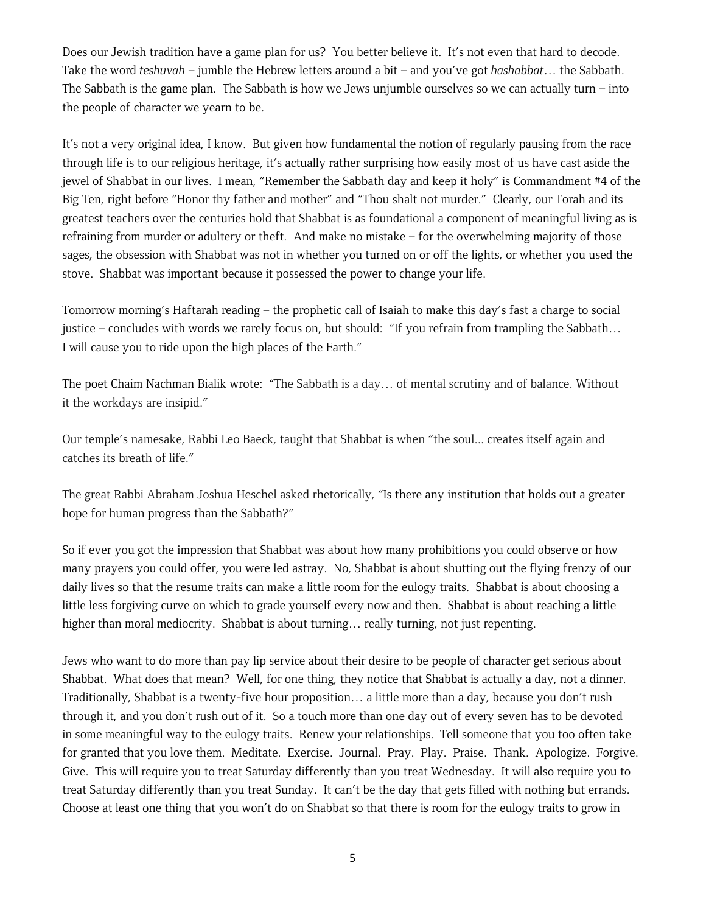Does our Jewish tradition have a game plan for us? You better believe it. It's not even that hard to decode. Take the word *teshuvah* – jumble the Hebrew letters around a bit – and you've got *hashabbat*… the Sabbath. The Sabbath is the game plan. The Sabbath is how we Jews unjumble ourselves so we can actually turn – into the people of character we yearn to be.

It's not a very original idea, I know. But given how fundamental the notion of regularly pausing from the race through life is to our religious heritage, it's actually rather surprising how easily most of us have cast aside the jewel of Shabbat in our lives. I mean, "Remember the Sabbath day and keep it holy" is Commandment #4 of the Big Ten, right before "Honor thy father and mother" and "Thou shalt not murder." Clearly, our Torah and its greatest teachers over the centuries hold that Shabbat is as foundational a component of meaningful living as is refraining from murder or adultery or theft. And make no mistake – for the overwhelming majority of those sages, the obsession with Shabbat was not in whether you turned on or off the lights, or whether you used the stove. Shabbat was important because it possessed the power to change your life.

Tomorrow morning's Haftarah reading – the prophetic call of Isaiah to make this day's fast a charge to social justice – concludes with words we rarely focus on, but should: "If you refrain from trampling the Sabbath… I will cause you to ride upon the high places of the Earth."

The poet Chaim Nachman Bialik wrote: "The Sabbath is a day… of mental scrutiny and of balance. Without it the workdays are insipid."

Our temple's namesake, Rabbi Leo Baeck, taught that Shabbat is when "the soul... creates itself again and catches its breath of life."

The great Rabbi Abraham Joshua Heschel asked rhetorically, "Is there any institution that holds out a greater hope for human progress than the Sabbath?"

So if ever you got the impression that Shabbat was about how many prohibitions you could observe or how many prayers you could offer, you were led astray. No, Shabbat is about shutting out the flying frenzy of our daily lives so that the resume traits can make a little room for the eulogy traits. Shabbat is about choosing a little less forgiving curve on which to grade yourself every now and then. Shabbat is about reaching a little higher than moral mediocrity. Shabbat is about turning... really turning, not just repenting.

Jews who want to do more than pay lip service about their desire to be people of character get serious about Shabbat. What does that mean? Well, for one thing, they notice that Shabbat is actually a day, not a dinner. Traditionally, Shabbat is a twenty-five hour proposition… a little more than a day, because you don't rush through it, and you don't rush out of it. So a touch more than one day out of every seven has to be devoted in some meaningful way to the eulogy traits. Renew your relationships. Tell someone that you too often take for granted that you love them. Meditate. Exercise. Journal. Pray. Play. Praise. Thank. Apologize. Forgive. Give. This will require you to treat Saturday differently than you treat Wednesday. It will also require you to treat Saturday differently than you treat Sunday. It can't be the day that gets filled with nothing but errands. Choose at least one thing that you won't do on Shabbat so that there is room for the eulogy traits to grow in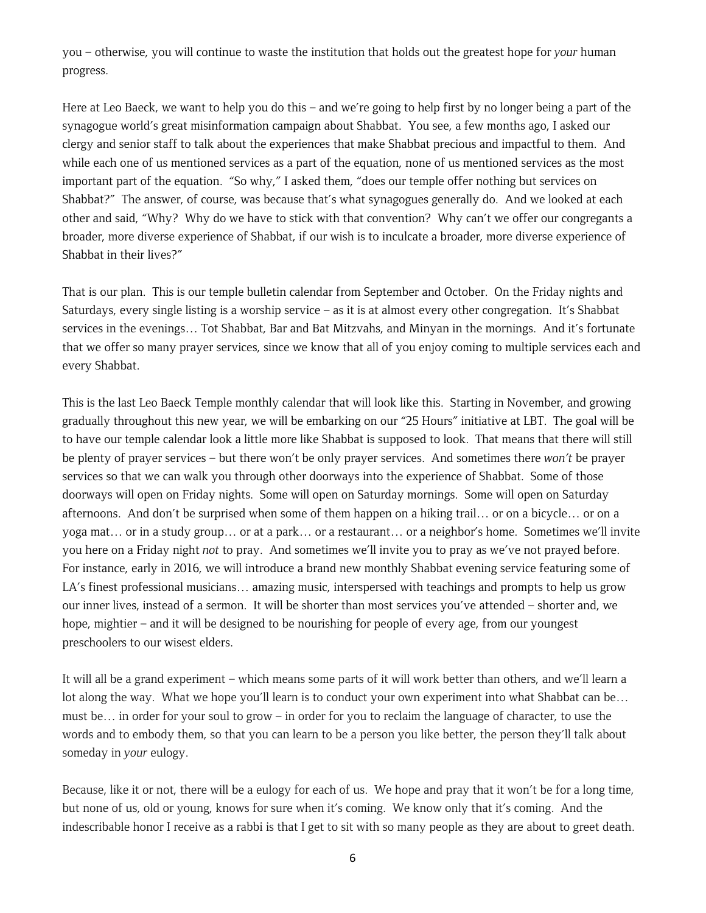you – otherwise, you will continue to waste the institution that holds out the greatest hope for *your* human progress.

Here at Leo Baeck, we want to help you do this – and we're going to help first by no longer being a part of the synagogue world's great misinformation campaign about Shabbat. You see, a few months ago, I asked our clergy and senior staff to talk about the experiences that make Shabbat precious and impactful to them. And while each one of us mentioned services as a part of the equation, none of us mentioned services as the most important part of the equation. "So why," I asked them, "does our temple offer nothing but services on Shabbat?" The answer, of course, was because that's what synagogues generally do. And we looked at each other and said, "Why? Why do we have to stick with that convention? Why can't we offer our congregants a broader, more diverse experience of Shabbat, if our wish is to inculcate a broader, more diverse experience of Shabbat in their lives?"

That is our plan. This is our temple bulletin calendar from September and October. On the Friday nights and Saturdays, every single listing is a worship service – as it is at almost every other congregation. It's Shabbat services in the evenings… Tot Shabbat, Bar and Bat Mitzvahs, and Minyan in the mornings. And it's fortunate that we offer so many prayer services, since we know that all of you enjoy coming to multiple services each and every Shabbat.

This is the last Leo Baeck Temple monthly calendar that will look like this. Starting in November, and growing gradually throughout this new year, we will be embarking on our "25 Hours" initiative at LBT. The goal will be to have our temple calendar look a little more like Shabbat is supposed to look. That means that there will still be plenty of prayer services – but there won't be only prayer services. And sometimes there *won't* be prayer services so that we can walk you through other doorways into the experience of Shabbat. Some of those doorways will open on Friday nights. Some will open on Saturday mornings. Some will open on Saturday afternoons. And don't be surprised when some of them happen on a hiking trail… or on a bicycle… or on a yoga mat… or in a study group… or at a park… or a restaurant… or a neighbor's home. Sometimes we'll invite you here on a Friday night *not* to pray. And sometimes we'll invite you to pray as we've not prayed before. For instance, early in 2016, we will introduce a brand new monthly Shabbat evening service featuring some of LA's finest professional musicians… amazing music, interspersed with teachings and prompts to help us grow our inner lives, instead of a sermon. It will be shorter than most services you've attended – shorter and, we hope, mightier – and it will be designed to be nourishing for people of every age, from our youngest preschoolers to our wisest elders.

It will all be a grand experiment – which means some parts of it will work better than others, and we'll learn a lot along the way. What we hope you'll learn is to conduct your own experiment into what Shabbat can be... must be… in order for your soul to grow – in order for you to reclaim the language of character, to use the words and to embody them, so that you can learn to be a person you like better, the person they'll talk about someday in *your* eulogy.

Because, like it or not, there will be a eulogy for each of us. We hope and pray that it won't be for a long time, but none of us, old or young, knows for sure when it's coming. We know only that it's coming. And the indescribable honor I receive as a rabbi is that I get to sit with so many people as they are about to greet death.

6